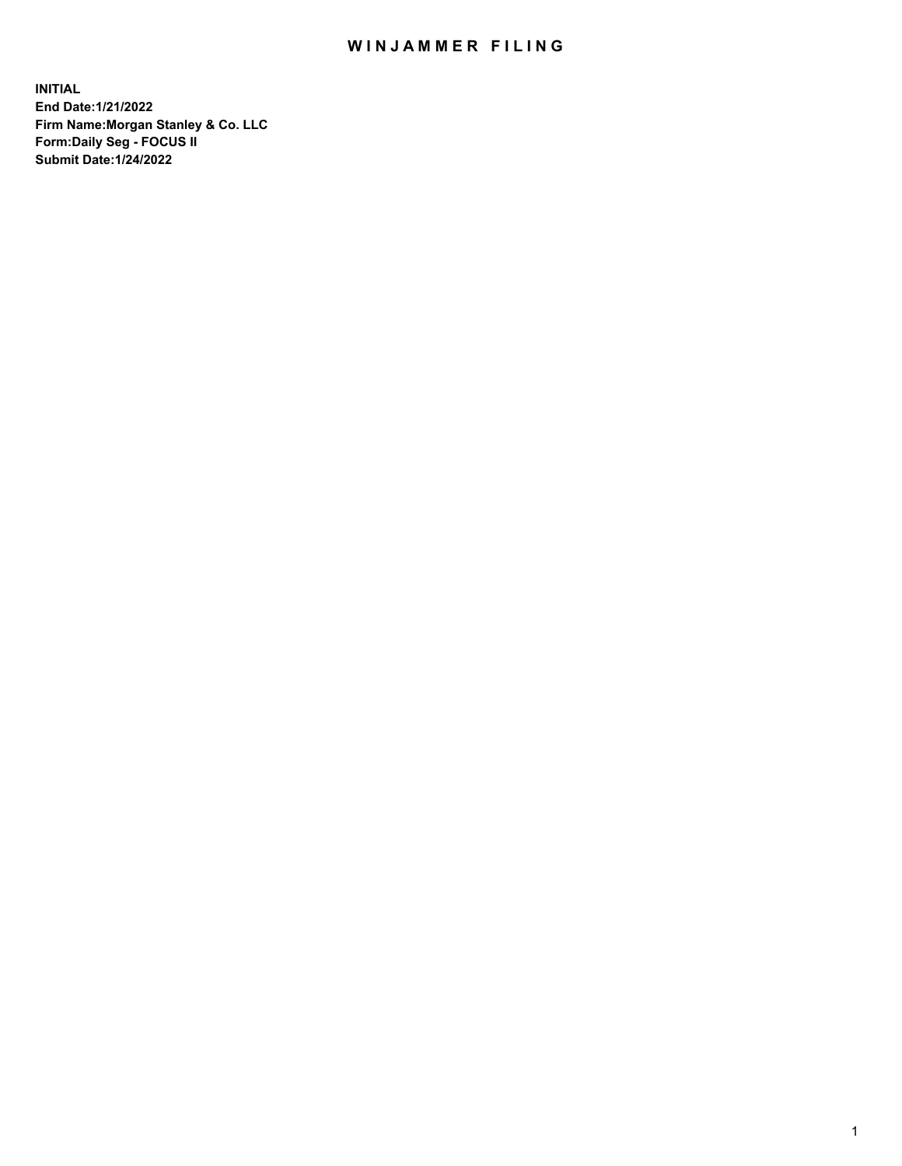## WIN JAMMER FILING

**INITIAL End Date:1/21/2022 Firm Name:Morgan Stanley & Co. LLC Form:Daily Seg - FOCUS II Submit Date:1/24/2022**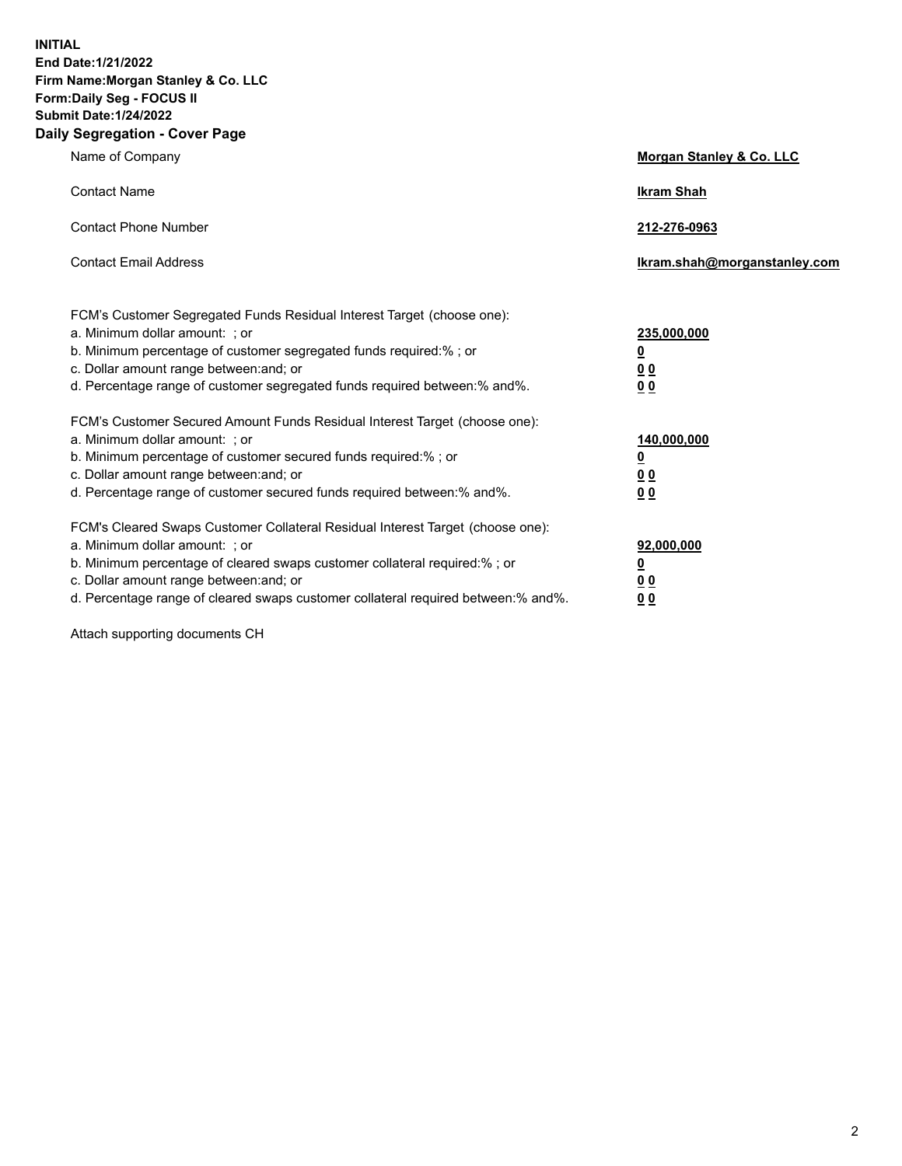**INITIAL End Date:1/21/2022 Firm Name:Morgan Stanley & Co. LLC Form:Daily Seg - FOCUS II Submit Date:1/24/2022 Daily Segregation - Cover Page**

| Name of Company                                                                                                                                                                                                                                                                                                                | Morgan Stanley & Co. LLC                               |
|--------------------------------------------------------------------------------------------------------------------------------------------------------------------------------------------------------------------------------------------------------------------------------------------------------------------------------|--------------------------------------------------------|
| <b>Contact Name</b>                                                                                                                                                                                                                                                                                                            | <b>Ikram Shah</b>                                      |
| <b>Contact Phone Number</b>                                                                                                                                                                                                                                                                                                    | 212-276-0963                                           |
| <b>Contact Email Address</b>                                                                                                                                                                                                                                                                                                   | Ikram.shah@morganstanley.com                           |
| FCM's Customer Segregated Funds Residual Interest Target (choose one):<br>a. Minimum dollar amount: ; or<br>b. Minimum percentage of customer segregated funds required:% ; or<br>c. Dollar amount range between: and; or<br>d. Percentage range of customer segregated funds required between:% and%.                         | 235,000,000<br><u>0</u><br>0 <sup>0</sup><br><u>00</u> |
| FCM's Customer Secured Amount Funds Residual Interest Target (choose one):<br>a. Minimum dollar amount: ; or<br>b. Minimum percentage of customer secured funds required:% ; or<br>c. Dollar amount range between: and; or<br>d. Percentage range of customer secured funds required between:% and%.                           | 140,000,000<br><u>0</u><br><u>00</u><br>00             |
| FCM's Cleared Swaps Customer Collateral Residual Interest Target (choose one):<br>a. Minimum dollar amount: ; or<br>b. Minimum percentage of cleared swaps customer collateral required:% ; or<br>c. Dollar amount range between: and; or<br>d. Percentage range of cleared swaps customer collateral required between:% and%. | 92,000,000<br><u>0</u><br><u>00</u><br>00              |

Attach supporting documents CH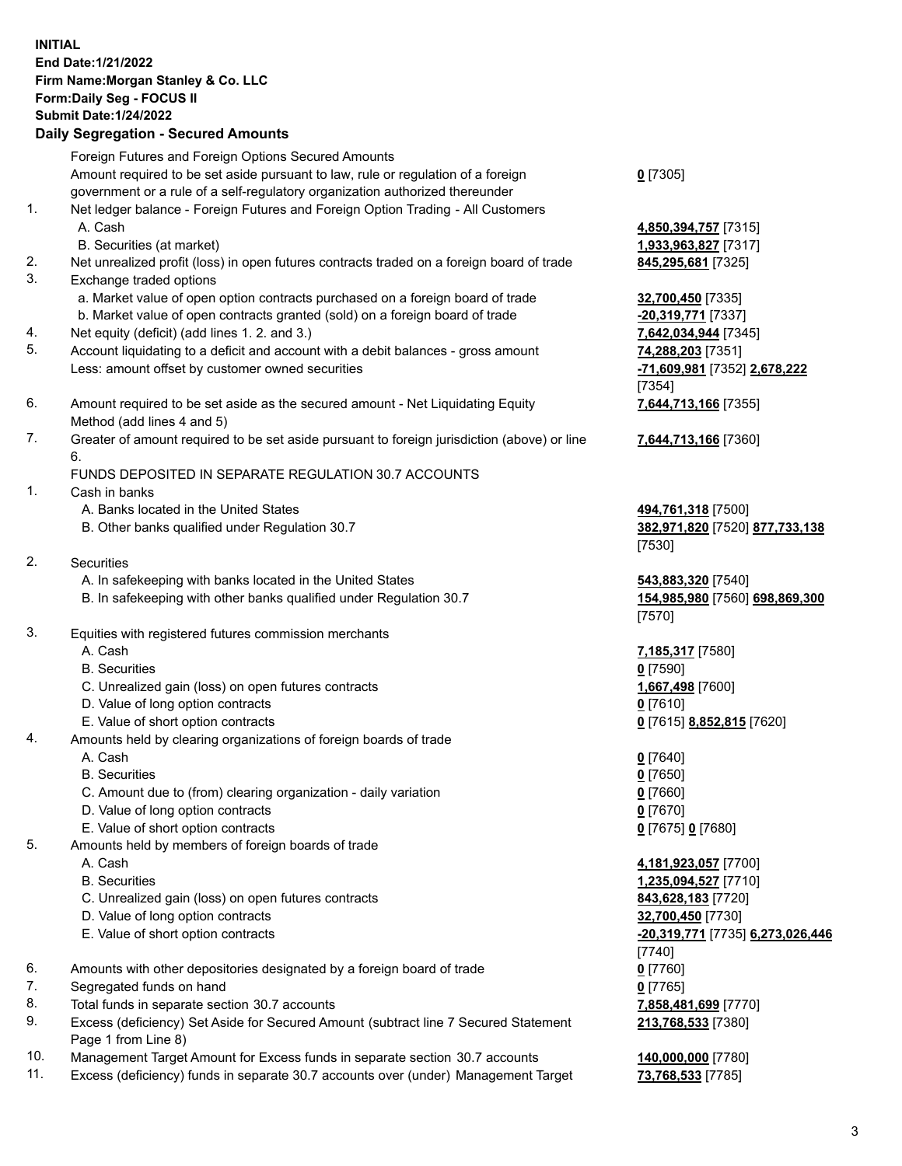## **INITIAL End Date:1/21/2022 Firm Name:Morgan Stanley & Co. LLC Form:Daily Seg - FOCUS II Submit Date:1/24/2022 Daily Segregation - Secured Amounts**

Foreign Futures and Foreign Options Secured Amounts Amount required to be set aside pursuant to law, rule or regulation of a foreign government or a rule of a self-regulatory organization authorized thereunder 1. Net ledger balance - Foreign Futures and Foreign Option Trading - All Customers A. Cash **4,850,394,757** [7315] B. Securities (at market) **1,933,963,827** [7317] 2. Net unrealized profit (loss) in open futures contracts traded on a foreign board of trade **845,295,681** [7325] 3. Exchange traded options a. Market value of open option contracts purchased on a foreign board of trade **32,700,450** [7335] b. Market value of open contracts granted (sold) on a foreign board of trade **-20,319,771** [7337] 4. Net equity (deficit) (add lines 1. 2. and 3.) **7,642,034,944** [7345] 5. Account liquidating to a deficit and account with a debit balances - gross amount **74,288,203** [7351] Less: amount offset by customer owned securities **-71,609,981** [7352] **2,678,222** 6. Amount required to be set aside as the secured amount - Net Liquidating Equity Method (add lines 4 and 5) 7. Greater of amount required to be set aside pursuant to foreign jurisdiction (above) or line 6. FUNDS DEPOSITED IN SEPARATE REGULATION 30.7 ACCOUNTS 1. Cash in banks A. Banks located in the United States **494,761,318** [7500] B. Other banks qualified under Regulation 30.7 **382,971,820** [7520] **877,733,138** 2. Securities A. In safekeeping with banks located in the United States **543,883,320** [7540] B. In safekeeping with other banks qualified under Regulation 30.7 **154,985,980** [7560] **698,869,300**

- 3. Equities with registered futures commission merchants
	-
	- B. Securities **0** [7590]
	- C. Unrealized gain (loss) on open futures contracts **1,667,498** [7600]
	- D. Value of long option contracts **0** [7610]
	- E. Value of short option contracts **0** [7615] **8,852,815** [7620]
- 4. Amounts held by clearing organizations of foreign boards of trade
	- A. Cash **0** [7640]
	- B. Securities **0** [7650]
	- C. Amount due to (from) clearing organization daily variation **0** [7660]
	- D. Value of long option contracts **0** [7670]
	- E. Value of short option contracts **0** [7675] **0** [7680]
- 5. Amounts held by members of foreign boards of trade
	-
	-
	- C. Unrealized gain (loss) on open futures contracts **843,628,183** [7720]
	- D. Value of long option contracts **32,700,450** [7730]
	-
- 6. Amounts with other depositories designated by a foreign board of trade **0** [7760]
- 7. Segregated funds on hand **0** [7765]
- 8. Total funds in separate section 30.7 accounts **7,858,481,699** [7770]
- 9. Excess (deficiency) Set Aside for Secured Amount (subtract line 7 Secured Statement Page 1 from Line 8)
- 10. Management Target Amount for Excess funds in separate section 30.7 accounts **140,000,000** [7780]
- 11. Excess (deficiency) funds in separate 30.7 accounts over (under) Management Target **73,768,533** [7785]

**0** [7305]

[7354] **7,644,713,166** [7355]

**7,644,713,166** [7360]

[7530]

[7570]

A. Cash **7,185,317** [7580]

 A. Cash **4,181,923,057** [7700] B. Securities **1,235,094,527** [7710] E. Value of short option contracts **-20,319,771** [7735] **6,273,026,446** [7740] **213,768,533** [7380]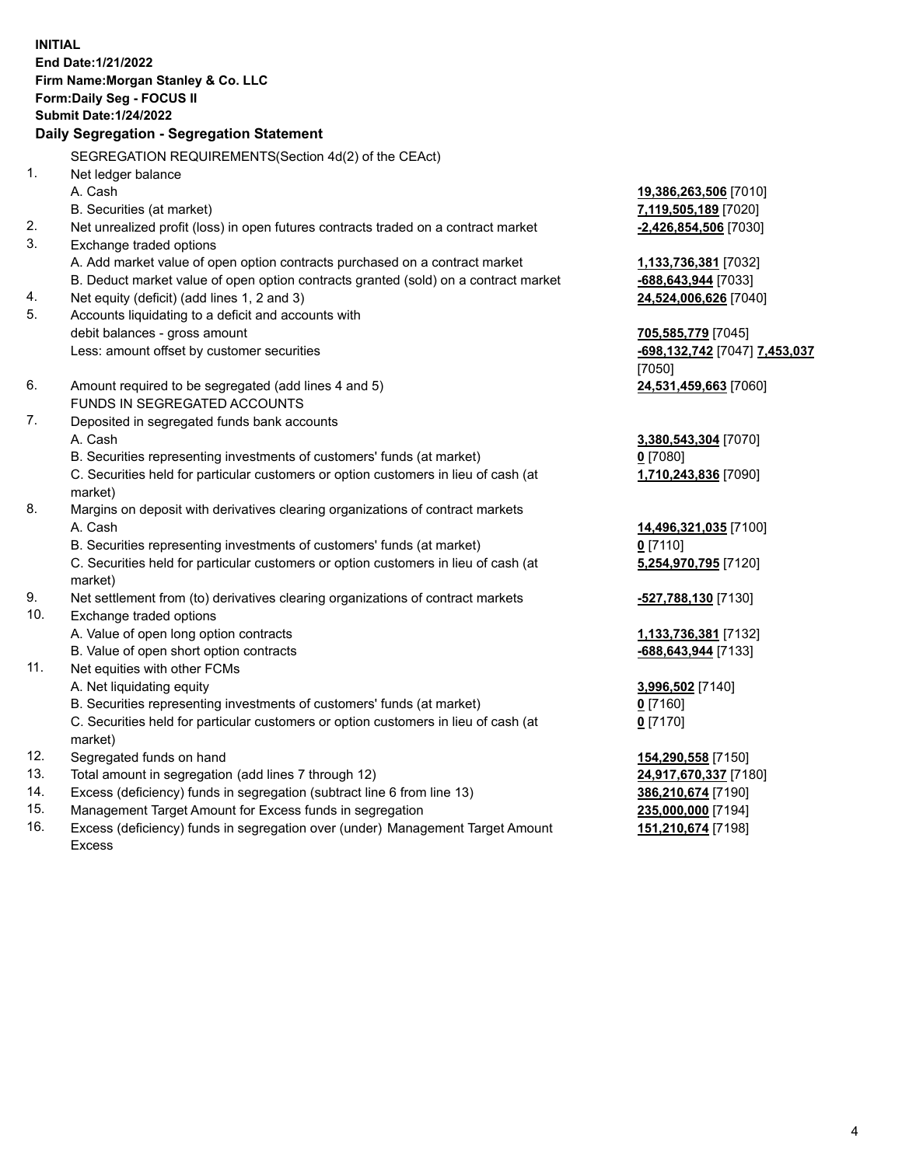**INITIAL End Date:1/21/2022 Firm Name:Morgan Stanley & Co. LLC Form:Daily Seg - FOCUS II Submit Date:1/24/2022 Daily Segregation - Segregation Statement** SEGREGATION REQUIREMENTS(Section 4d(2) of the CEAct) 1. Net ledger balance A. Cash **19,386,263,506** [7010] B. Securities (at market) **7,119,505,189** [7020] 2. Net unrealized profit (loss) in open futures contracts traded on a contract market **-2,426,854,506** [7030] 3. Exchange traded options A. Add market value of open option contracts purchased on a contract market **1,133,736,381** [7032] B. Deduct market value of open option contracts granted (sold) on a contract market **-688,643,944** [7033] 4. Net equity (deficit) (add lines 1, 2 and 3) **24,524,006,626** [7040] 5. Accounts liquidating to a deficit and accounts with debit balances - gross amount **705,585,779** [7045] Less: amount offset by customer securities **-698,132,742** [7047] **7,453,037** [7050] 6. Amount required to be segregated (add lines 4 and 5) **24,531,459,663** [7060] FUNDS IN SEGREGATED ACCOUNTS 7. Deposited in segregated funds bank accounts A. Cash **3,380,543,304** [7070] B. Securities representing investments of customers' funds (at market) **0** [7080] C. Securities held for particular customers or option customers in lieu of cash (at market) **1,710,243,836** [7090] 8. Margins on deposit with derivatives clearing organizations of contract markets A. Cash **14,496,321,035** [7100] B. Securities representing investments of customers' funds (at market) **0** [7110] C. Securities held for particular customers or option customers in lieu of cash (at market) **5,254,970,795** [7120] 9. Net settlement from (to) derivatives clearing organizations of contract markets **-527,788,130** [7130] 10. Exchange traded options A. Value of open long option contracts **1,133,736,381** [7132] B. Value of open short option contracts **-688,643,944** [7133] 11. Net equities with other FCMs A. Net liquidating equity **3,996,502** [7140] B. Securities representing investments of customers' funds (at market) **0** [7160] C. Securities held for particular customers or option customers in lieu of cash (at market) **0** [7170] 12. Segregated funds on hand **154,290,558** [7150] 13. Total amount in segregation (add lines 7 through 12) **24,917,670,337** [7180] 14. Excess (deficiency) funds in segregation (subtract line 6 from line 13) **386,210,674** [7190]

- 15. Management Target Amount for Excess funds in segregation **235,000,000** [7194]
- 16. Excess (deficiency) funds in segregation over (under) Management Target Amount Excess

**151,210,674** [7198]